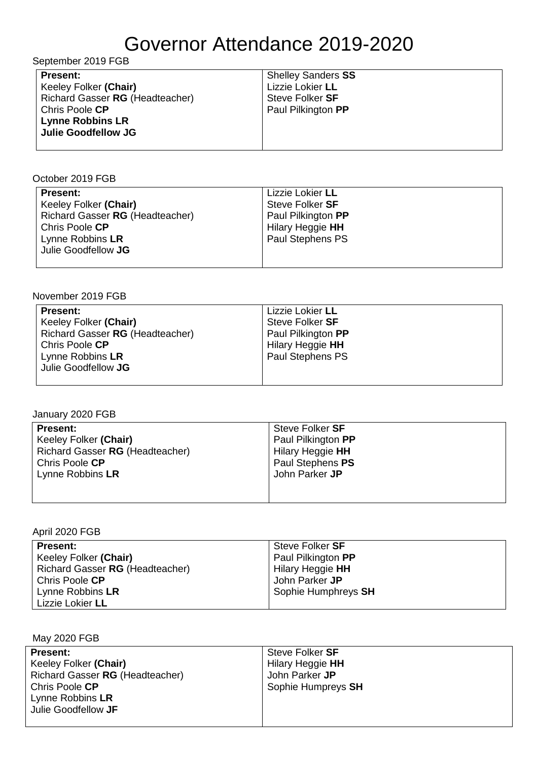## Governor Attendance 2019-2020

| September 2019 FGB                                                                                                                                     |                                                                                               |  |
|--------------------------------------------------------------------------------------------------------------------------------------------------------|-----------------------------------------------------------------------------------------------|--|
| <b>Present:</b><br>Keeley Folker (Chair)<br>Richard Gasser RG (Headteacher)<br>Chris Poole CP<br><b>Lynne Robbins LR</b><br><b>Julie Goodfellow JG</b> | <b>Shelley Sanders SS</b><br>Lizzie Lokier LL<br>Steve Folker <b>SF</b><br>Paul Pilkington PP |  |
|                                                                                                                                                        |                                                                                               |  |

October 2019 FGB

| <b>Present:</b><br>Keeley Folker (Chair)<br>Richard Gasser RG (Headteacher)<br>Chris Poole CP<br>Lynne Robbins LR<br>Julie Goodfellow JG | Lizzie Lokier LL<br>Steve Folker SF<br>Paul Pilkington PP<br>Hilary Heggie HH<br>Paul Stephens PS |
|------------------------------------------------------------------------------------------------------------------------------------------|---------------------------------------------------------------------------------------------------|
|                                                                                                                                          |                                                                                                   |

November 2019 FGB

| <b>Present:</b>                 | Lizzie Lokier LL   |
|---------------------------------|--------------------|
| Keeley Folker (Chair)           | Steve Folker SF    |
| Richard Gasser RG (Headteacher) | Paul Pilkington PP |
| Chris Poole CP                  | Hilary Heggie HH   |
| Lynne Robbins LR                | Paul Stephens PS   |
| Julie Goodfellow JG             |                    |
|                                 |                    |

January 2020 FGB

| Steve Folker SF    |
|--------------------|
| Paul Pilkington PP |
| Hilary Heggie HH   |
| Paul Stephens PS   |
| John Parker JP     |
|                    |
|                    |
|                    |

April 2020 FGB

| <b>Present:</b>                 | Steve Folker SF         |
|---------------------------------|-------------------------|
| Keeley Folker (Chair)           | Paul Pilkington PP      |
| Richard Gasser RG (Headteacher) | Hilary Heggie <b>HH</b> |
| Chris Poole CP                  | John Parker JP          |
| Lynne Robbins LR                | Sophie Humphreys SH     |
| Lizzie Lokier LL                |                         |

May 2020 FGB

| <b>Present:</b>                 | Steve Folker SF    |
|---------------------------------|--------------------|
| Keeley Folker (Chair)           | Hilary Heggie HH   |
| Richard Gasser RG (Headteacher) | John Parker JP     |
| Chris Poole CP                  | Sophie Humpreys SH |
| Lynne Robbins LR                |                    |
| Julie Goodfellow JF             |                    |
|                                 |                    |